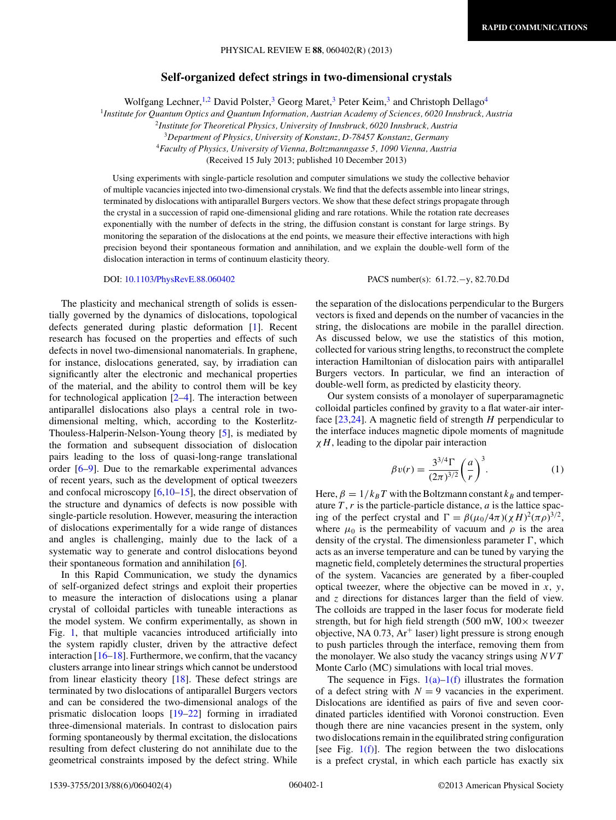## **Self-organized defect strings in two-dimensional crystals**

Wolfgang Lechner,<sup>1,2</sup> David Polster,<sup>3</sup> Georg Maret,<sup>3</sup> Peter Keim,<sup>3</sup> and Christoph Dellago<sup>4</sup>

<sup>1</sup>*Institute for Quantum Optics and Quantum Information, Austrian Academy of Sciences, 6020 Innsbruck, Austria*

<sup>2</sup>*Institute for Theoretical Physics, University of Innsbruck, 6020 Innsbruck, Austria*

<sup>3</sup>*Department of Physics, University of Konstanz, D-78457 Konstanz, Germany*

<sup>4</sup>*Faculty of Physics, University of Vienna, Boltzmanngasse 5, 1090 Vienna, Austria*

(Received 15 July 2013; published 10 December 2013)

Using experiments with single-particle resolution and computer simulations we study the collective behavior of multiple vacancies injected into two-dimensional crystals. We find that the defects assemble into linear strings, terminated by dislocations with antiparallel Burgers vectors. We show that these defect strings propagate through the crystal in a succession of rapid one-dimensional gliding and rare rotations. While the rotation rate decreases exponentially with the number of defects in the string, the diffusion constant is constant for large strings. By monitoring the separation of the dislocations at the end points, we measure their effective interactions with high precision beyond their spontaneous formation and annihilation, and we explain the double-well form of the dislocation interaction in terms of continuum elasticity theory.

The plasticity and mechanical strength of solids is essentially governed by the dynamics of dislocations, topological defects generated during plastic deformation [\[1\]](#page-3-0). Recent research has focused on the properties and effects of such defects in novel two-dimensional nanomaterials. In graphene, for instance, dislocations generated, say, by irradiation can significantly alter the electronic and mechanical properties of the material, and the ability to control them will be key for technological application [\[2–4\]](#page-3-0). The interaction between antiparallel dislocations also plays a central role in twodimensional melting, which, according to the Kosterlitz-Thouless-Halperin-Nelson-Young theory [\[5\]](#page-3-0), is mediated by the formation and subsequent dissociation of dislocation pairs leading to the loss of quasi-long-range translational order [\[6–9\]](#page-3-0). Due to the remarkable experimental advances of recent years, such as the development of optical tweezers and confocal microscopy  $[6,10-15]$ , the direct observation of the structure and dynamics of defects is now possible with single-particle resolution. However, measuring the interaction of dislocations experimentally for a wide range of distances and angles is challenging, mainly due to the lack of a systematic way to generate and control dislocations beyond their spontaneous formation and annihilation [\[6\]](#page-3-0).

In this Rapid Communication, we study the dynamics of self-organized defect strings and exploit their properties to measure the interaction of dislocations using a planar crystal of colloidal particles with tuneable interactions as the model system. We confirm experimentally, as shown in Fig. [1,](#page-1-0) that multiple vacancies introduced artificially into the system rapidly cluster, driven by the attractive defect interaction  $[16–18]$ . Furthermore, we confirm, that the vacancy clusters arrange into linear strings which cannot be understood from linear elasticity theory [\[18\]](#page-3-0). These defect strings are terminated by two dislocations of antiparallel Burgers vectors and can be considered the two-dimensional analogs of the prismatic dislocation loops [\[19–22\]](#page-3-0) forming in irradiated three-dimensional materials. In contrast to dislocation pairs forming spontaneously by thermal excitation, the dislocations resulting from defect clustering do not annihilate due to the geometrical constraints imposed by the defect string. While

DOI: [10.1103/PhysRevE.88.060402](http://dx.doi.org/10.1103/PhysRevE.88.060402) PACS number(s): 61*.*72*.*−y, 82*.*70*.*Dd

the separation of the dislocations perpendicular to the Burgers vectors is fixed and depends on the number of vacancies in the string, the dislocations are mobile in the parallel direction. As discussed below, we use the statistics of this motion, collected for various string lengths, to reconstruct the complete interaction Hamiltonian of dislocation pairs with antiparallel Burgers vectors. In particular, we find an interaction of double-well form, as predicted by elasticity theory.

Our system consists of a monolayer of superparamagnetic colloidal particles confined by gravity to a flat water-air interface [\[23,24\]](#page-3-0). A magnetic field of strength *H* perpendicular to the interface induces magnetic dipole moments of magnitude *χH*, leading to the dipolar pair interaction

$$
\beta v(r) = \frac{3^{3/4} \Gamma}{(2\pi)^{3/2}} \left(\frac{a}{r}\right)^3.
$$
 (1)

Here,  $\beta = 1/k_B T$  with the Boltzmann constant  $k_B$  and temperature  $T$ ,  $r$  is the particle-particle distance,  $a$  is the lattice spacing of the perfect crystal and  $\Gamma = \beta(\mu_0/4\pi)(\chi H)^2(\pi \rho)^{3/2}$ , where  $\mu_0$  is the permeability of vacuum and  $\rho$  is the area density of the crystal. The dimensionless parameter  $\Gamma$ , which acts as an inverse temperature and can be tuned by varying the magnetic field, completely determines the structural properties of the system. Vacancies are generated by a fiber-coupled optical tweezer, where the objective can be moved in *x*, *y*, and *z* directions for distances larger than the field of view. The colloids are trapped in the laser focus for moderate field strength, but for high field strength (500 mW,  $100 \times$  tweezer objective, NA  $0.73$ , Ar<sup>+</sup> laser) light pressure is strong enough to push particles through the interface, removing them from the monolayer. We also study the vacancy strings using *NVT* Monte Carlo (MC) simulations with local trial moves.

The sequence in Figs.  $1(a)-1(f)$  illustrates the formation of a defect string with  $N = 9$  vacancies in the experiment. Dislocations are identified as pairs of five and seven coordinated particles identified with Voronoi construction. Even though there are nine vacancies present in the system, only two dislocations remain in the equilibrated string configuration [see Fig.  $1(f)$ ]. The region between the two dislocations is a prefect crystal, in which each particle has exactly six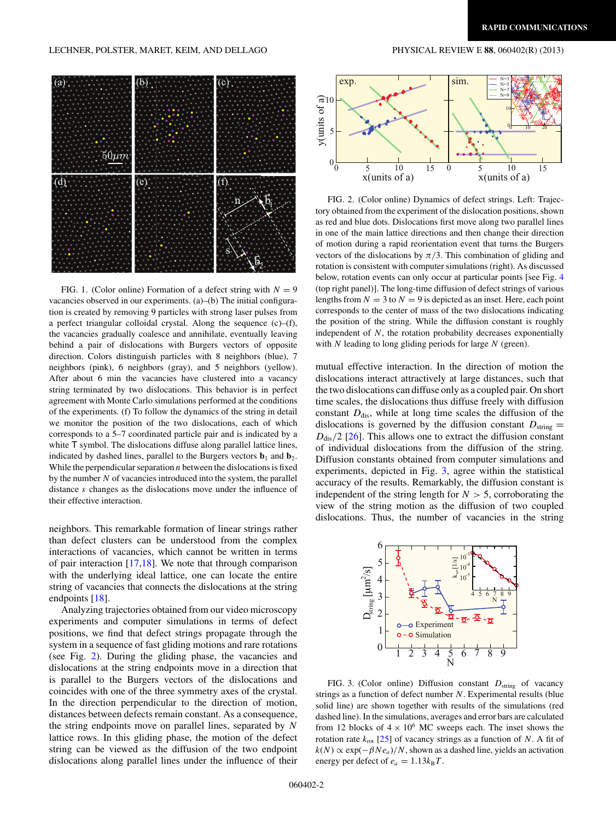## <span id="page-1-0"></span>LECHNER, POLSTER, MARET, KEIM, AND DELLAGO PHYSICAL REVIEW E **88**, 060402(R) (2013)



FIG. 1. (Color online) Formation of a defect string with  $N = 9$ vacancies observed in our experiments. (a)–(b) The initial configuration is created by removing 9 particles with strong laser pulses from a perfect triangular colloidal crystal. Along the sequence (c)–(f), the vacancies gradually coalesce and annihilate, eventually leaving behind a pair of dislocations with Burgers vectors of opposite direction. Colors distinguish particles with 8 neighbors (blue), 7 neighbors (pink), 6 neighbors (gray), and 5 neighbors (yellow). After about 6 min the vacancies have clustered into a vacancy string terminated by two dislocations. This behavior is in perfect agreement with Monte Carlo simulations performed at the conditions of the experiments. (f) To follow the dynamics of the string in detail we monitor the position of the two dislocations, each of which corresponds to a 5–7 coordinated particle pair and is indicated by a white T symbol. The dislocations diffuse along parallel lattice lines, indicated by dashed lines, parallel to the Burgers vectors  $\mathbf{b}_1$  and  $\mathbf{b}_2$ . While the perpendicular separation *n* between the dislocations is fixed by the number *N* of vacancies introduced into the system, the parallel distance *s* changes as the dislocations move under the influence of their effective interaction.

neighbors. This remarkable formation of linear strings rather than defect clusters can be understood from the complex interactions of vacancies, which cannot be written in terms of pair interaction [\[17,18\]](#page-3-0). We note that through comparison with the underlying ideal lattice, one can locate the entire string of vacancies that connects the dislocations at the string endpoints [\[18\]](#page-3-0).

Analyzing trajectories obtained from our video microscopy experiments and computer simulations in terms of defect positions, we find that defect strings propagate through the system in a sequence of fast gliding motions and rare rotations (see Fig. 2). During the gliding phase, the vacancies and dislocations at the string endpoints move in a direction that is parallel to the Burgers vectors of the dislocations and coincides with one of the three symmetry axes of the crystal. In the direction perpendicular to the direction of motion, distances between defects remain constant. As a consequence, the string endpoints move on parallel lines, separated by *N* lattice rows. In this gliding phase, the motion of the defect string can be viewed as the diffusion of the two endpoint dislocations along parallel lines under the influence of their



FIG. 2. (Color online) Dynamics of defect strings. Left: Trajectory obtained from the experiment of the dislocation positions, shown as red and blue dots. Dislocations first move along two parallel lines in one of the main lattice directions and then change their direction of motion during a rapid reorientation event that turns the Burgers vectors of the dislocations by  $\pi/3$ . This combination of gliding and rotation is consistent with computer simulations (right). As discussed below, rotation events can only occur at particular points [see Fig. [4](#page-2-0) (top right panel)]. The long-time diffusion of defect strings of various lengths from  $N = 3$  to  $N = 9$  is depicted as an inset. Here, each point corresponds to the center of mass of the two dislocations indicating the position of the string. While the diffusion constant is roughly independent of *N*, the rotation probability decreases exponentially with *N* leading to long gliding periods for large *N* (green).

mutual effective interaction. In the direction of motion the dislocations interact attractively at large distances, such that the two dislocations can diffuse only as a coupled pair. On short time scales, the dislocations thus diffuse freely with diffusion constant  $D_{\text{dis}}$ , while at long time scales the diffusion of the dislocations is governed by the diffusion constant  $D_{\text{string}} =$  $D_{\text{dis}}/2$  [\[26\]](#page-3-0). This allows one to extract the diffusion constant of individual dislocations from the diffusion of the string. Diffusion constants obtained from computer simulations and experiments, depicted in Fig. 3, agree within the statistical accuracy of the results. Remarkably, the diffusion constant is independent of the string length for  $N > 5$ , corroborating the view of the string motion as the diffusion of two coupled dislocations. Thus, the number of vacancies in the string



FIG. 3. (Color online) Diffusion constant  $D_{\text{string}}$  of vacancy strings as a function of defect number *N*. Experimental results (blue solid line) are shown together with results of the simulations (red dashed line). In the simulations, averages and error bars are calculated from 12 blocks of  $4 \times 10^6$  MC sweeps each. The inset shows the rotation rate  $k_{\text{rot}}$  [\[25\]](#page-3-0) of vacancy strings as a function of *N*. A fit of  $k(N) \propto \exp(-\beta N e_a)/N$ , shown as a dashed line, yields an activation energy per defect of  $e_a = 1.13k_BT$ .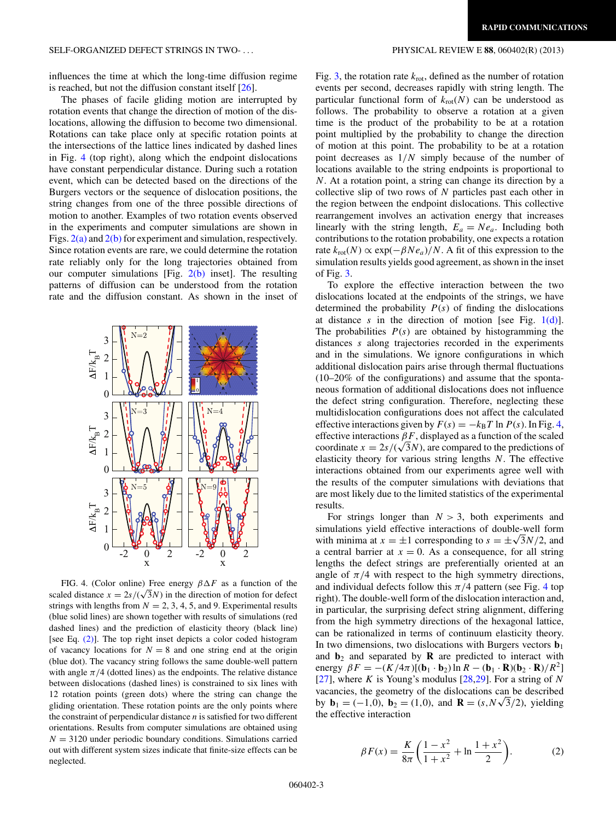<span id="page-2-0"></span>influences the time at which the long-time diffusion regime is reached, but not the diffusion constant itself  $[26]$ .

The phases of facile gliding motion are interrupted by rotation events that change the direction of motion of the dislocations, allowing the diffusion to become two dimensional. Rotations can take place only at specific rotation points at the intersections of the lattice lines indicated by dashed lines in Fig. 4 (top right), along which the endpoint dislocations have constant perpendicular distance. During such a rotation event, which can be detected based on the directions of the Burgers vectors or the sequence of dislocation positions, the string changes from one of the three possible directions of motion to another. Examples of two rotation events observed in the experiments and computer simulations are shown in Figs.  $2(a)$  and  $2(b)$  for experiment and simulation, respectively. Since rotation events are rare, we could determine the rotation rate reliably only for the long trajectories obtained from our computer simulations [Fig.  $2(b)$  inset]. The resulting patterns of diffusion can be understood from the rotation rate and the diffusion constant. As shown in the inset of



FIG. 4. (Color online) Free energy  $\beta \Delta F$  as a function of the scaled distance  $x = 2s/(\sqrt{3}N)$  in the direction of motion for defect strings with lengths from  $N = 2, 3, 4, 5$ , and 9. Experimental results (blue solid lines) are shown together with results of simulations (red dashed lines) and the prediction of elasticity theory (black line) [see Eq.  $(2)$ ]. The top right inset depicts a color coded histogram of vacancy locations for  $N = 8$  and one string end at the origin (blue dot). The vacancy string follows the same double-well pattern with angle  $\pi/4$  (dotted lines) as the endpoints. The relative distance between dislocations (dashed lines) is constrained to six lines with 12 rotation points (green dots) where the string can change the gliding orientation. These rotation points are the only points where the constraint of perpendicular distance *n* is satisfied for two different orientations. Results from computer simulations are obtained using  $N = 3120$  under periodic boundary conditions. Simulations carried out with different system sizes indicate that finite-size effects can be neglected.

Fig. [3,](#page-1-0) the rotation rate  $k_{\text{rot}}$ , defined as the number of rotation events per second, decreases rapidly with string length. The particular functional form of  $k_{\text{rot}}(N)$  can be understood as follows. The probability to observe a rotation at a given time is the product of the probability to be at a rotation point multiplied by the probability to change the direction of motion at this point. The probability to be at a rotation point decreases as 1*/N* simply because of the number of locations available to the string endpoints is proportional to *N*. At a rotation point, a string can change its direction by a collective slip of two rows of *N* particles past each other in the region between the endpoint dislocations. This collective rearrangement involves an activation energy that increases linearly with the string length,  $E_a = Ne_a$ . Including both contributions to the rotation probability, one expects a rotation rate  $k_{\text{rot}}(N) \propto \exp(-\beta N e_a)/N$ . A fit of this expression to the simulation results yields good agreement, as shown in the inset of Fig. [3.](#page-1-0)

To explore the effective interaction between the two dislocations located at the endpoints of the strings, we have determined the probability  $P(s)$  of finding the dislocations at distance  $s$  in the direction of motion [see Fig.  $1(d)$ ]. The probabilities  $P(s)$  are obtained by histogramming the distances *s* along trajectories recorded in the experiments and in the simulations. We ignore configurations in which additional dislocation pairs arise through thermal fluctuations (10–20% of the configurations) and assume that the spontaneous formation of additional dislocations does not influence the defect string configuration. Therefore, neglecting these multidislocation configurations does not affect the calculated effective interactions given by  $F(s) = -k_B T \ln P(s)$ . In Fig. 4, effective interactions  $\beta F$ , displayed as a function of the scaled coordinate  $x = 2s/(\sqrt{3}N)$ , are compared to the predictions of elasticity theory for various string lengths *N*. The effective interactions obtained from our experiments agree well with the results of the computer simulations with deviations that are most likely due to the limited statistics of the experimental results.

For strings longer than  $N > 3$ , both experiments and simulations yield effective interactions of double-well form with minima at  $x = \pm 1$  corresponding to  $s = \pm \sqrt{3N/2}$ , and a central barrier at  $x = 0$ . As a consequence, for all string lengths the defect strings are preferentially oriented at an angle of  $\pi/4$  with respect to the high symmetry directions, and individual defects follow this  $\pi/4$  pattern (see Fig. 4 top right). The double-well form of the dislocation interaction and, in particular, the surprising defect string alignment, differing from the high symmetry directions of the hexagonal lattice, can be rationalized in terms of continuum elasticity theory. In two dimensions, two dislocations with Burgers vectors  $\mathbf{b}_1$ and  $\mathbf{b}_2$  and separated by **R** are predicted to interact with energy  $\beta F = -(K/4\pi)[(\mathbf{b}_1 \cdot \mathbf{b}_2) \ln R - (\mathbf{b}_1 \cdot \mathbf{R})(\mathbf{b}_2 \cdot \mathbf{R})/R^2]$ [\[27\]](#page-3-0), where *K* is Young's modulus [\[28,29\]](#page-3-0). For a string of *N* vacancies, the geometry of the dislocations can be described by **b**<sub>1</sub> = (−1,0), **b**<sub>2</sub> = (1,0), and **R** = (*s,N*√3/2), yielding the effective interaction

$$
\beta F(x) = \frac{K}{8\pi} \left( \frac{1 - x^2}{1 + x^2} + \ln \frac{1 + x^2}{2} \right). \tag{2}
$$